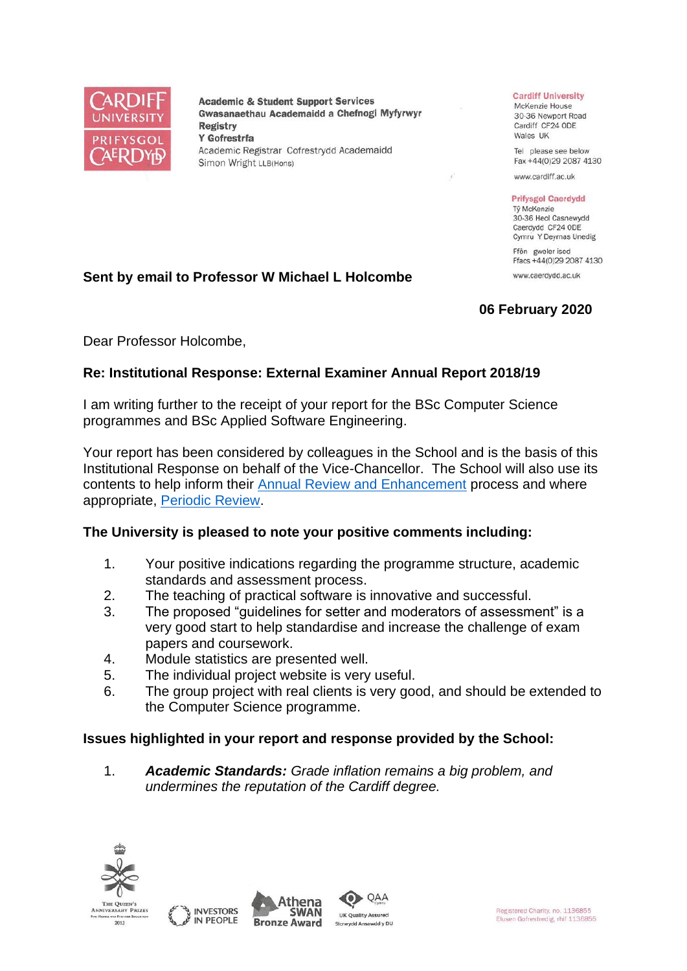

**Academic & Student Support Services** Gwasanaethau Academaidd a Chefnogi Myfyrwyr **Registry** Y Gofrestrfa Academic Registrar Cofrestrydd Academaidd Simon Wright LLB(Hons)

#### **Cardiff University**

McKenzie House 30-36 Newport Road Cardiff CF24 ODE Wales UK

Tel please see below Fax +44(0)29 2087 4130

www.cardiff.ac.uk

#### **Prifysgol Caerdydd**

Tỷ McKenzie 30-36 Heol Casnewydd Caerdydd CF24 ODE Cymru Y Deyrnas Unedig

Ffôn gweler isod Ffacs +44(0)29 2087 4130 www.caerdydd.ac.uk

# **06 February 2020**

Dear Professor Holcombe,

## **Re: Institutional Response: External Examiner Annual Report 2018/19**

**Sent by email to Professor W Michael L Holcombe**

I am writing further to the receipt of your report for the BSc Computer Science programmes and BSc Applied Software Engineering.

Your report has been considered by colleagues in the School and is the basis of this Institutional Response on behalf of the Vice-Chancellor. The School will also use its contents to help inform their [Annual Review and Enhancement](https://www.cardiff.ac.uk/public-information/quality-and-standards/monitoring-and-review/annual-review-and-enhancement) process and where appropriate, [Periodic Review.](http://www.cardiff.ac.uk/public-information/quality-and-standards/monitoring-and-review/periodic-review)

## **The University is pleased to note your positive comments including:**

- 1. Your positive indications regarding the programme structure, academic standards and assessment process.
- 2. The teaching of practical software is innovative and successful.
- 3. The proposed "guidelines for setter and moderators of assessment" is a very good start to help standardise and increase the challenge of exam papers and coursework.
- 4. Module statistics are presented well.
- 5. The individual project website is very useful.
- 6. The group project with real clients is very good, and should be extended to the Computer Science programme.

QAA

## **Issues highlighted in your report and response provided by the School:**

1. *Academic Standards: Grade inflation remains a big problem, and undermines the reputation of the Cardiff degree.*







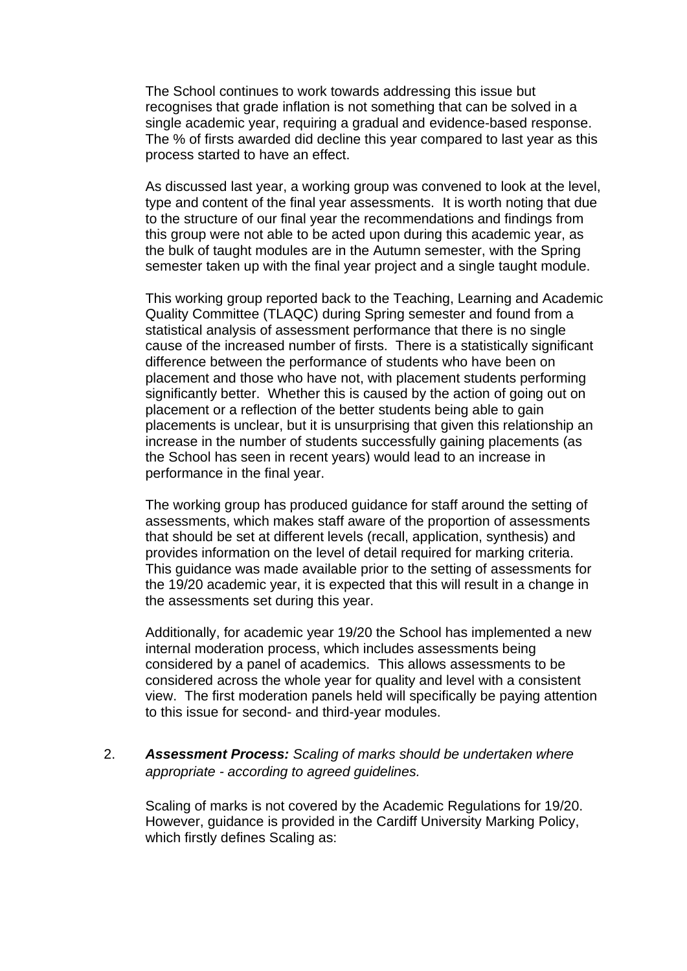The School continues to work towards addressing this issue but recognises that grade inflation is not something that can be solved in a single academic year, requiring a gradual and evidence-based response. The % of firsts awarded did decline this year compared to last year as this process started to have an effect.

As discussed last year, a working group was convened to look at the level, type and content of the final year assessments. It is worth noting that due to the structure of our final year the recommendations and findings from this group were not able to be acted upon during this academic year, as the bulk of taught modules are in the Autumn semester, with the Spring semester taken up with the final year project and a single taught module.

This working group reported back to the Teaching, Learning and Academic Quality Committee (TLAQC) during Spring semester and found from a statistical analysis of assessment performance that there is no single cause of the increased number of firsts. There is a statistically significant difference between the performance of students who have been on placement and those who have not, with placement students performing significantly better. Whether this is caused by the action of going out on placement or a reflection of the better students being able to gain placements is unclear, but it is unsurprising that given this relationship an increase in the number of students successfully gaining placements (as the School has seen in recent years) would lead to an increase in performance in the final year.

The working group has produced guidance for staff around the setting of assessments, which makes staff aware of the proportion of assessments that should be set at different levels (recall, application, synthesis) and provides information on the level of detail required for marking criteria. This guidance was made available prior to the setting of assessments for the 19/20 academic year, it is expected that this will result in a change in the assessments set during this year.

Additionally, for academic year 19/20 the School has implemented a new internal moderation process, which includes assessments being considered by a panel of academics. This allows assessments to be considered across the whole year for quality and level with a consistent view. The first moderation panels held will specifically be paying attention to this issue for second- and third-year modules.

## 2. *Assessment Process: Scaling of marks should be undertaken where appropriate - according to agreed guidelines.*

Scaling of marks is not covered by the Academic Regulations for 19/20. However, guidance is provided in the Cardiff University Marking Policy, which firstly defines Scaling as: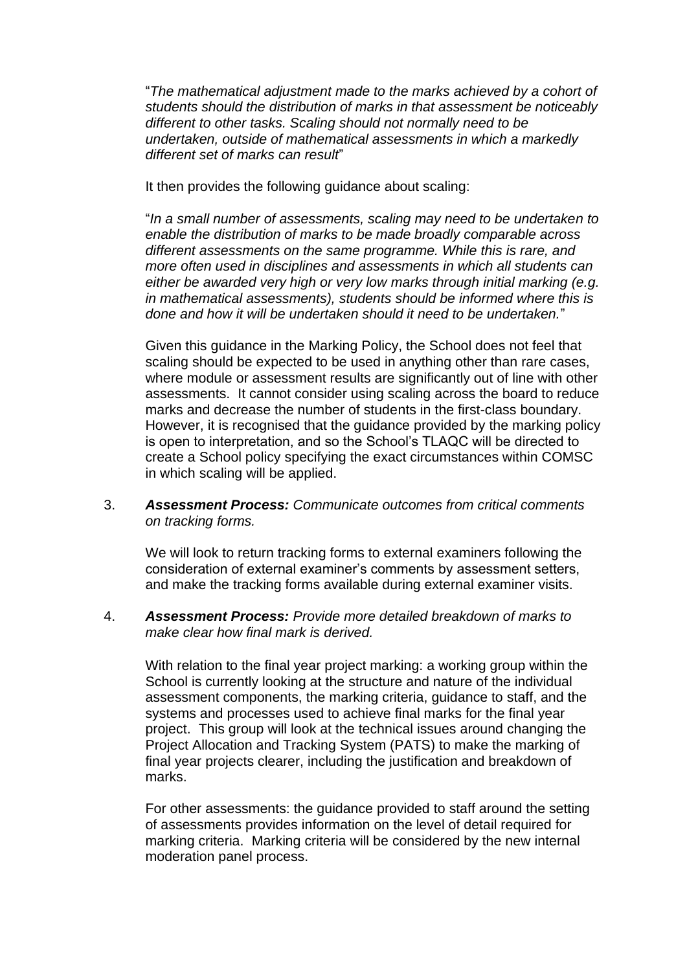"*The mathematical adjustment made to the marks achieved by a cohort of students should the distribution of marks in that assessment be noticeably different to other tasks. Scaling should not normally need to be undertaken, outside of mathematical assessments in which a markedly different set of marks can result*"

It then provides the following guidance about scaling:

"*In a small number of assessments, scaling may need to be undertaken to enable the distribution of marks to be made broadly comparable across different assessments on the same programme. While this is rare, and more often used in disciplines and assessments in which all students can either be awarded very high or very low marks through initial marking (e.g. in mathematical assessments), students should be informed where this is done and how it will be undertaken should it need to be undertaken.*"

Given this guidance in the Marking Policy, the School does not feel that scaling should be expected to be used in anything other than rare cases, where module or assessment results are significantly out of line with other assessments. It cannot consider using scaling across the board to reduce marks and decrease the number of students in the first-class boundary. However, it is recognised that the guidance provided by the marking policy is open to interpretation, and so the School's TLAQC will be directed to create a School policy specifying the exact circumstances within COMSC in which scaling will be applied.

3. *Assessment Process: Communicate outcomes from critical comments on tracking forms.*

We will look to return tracking forms to external examiners following the consideration of external examiner's comments by assessment setters, and make the tracking forms available during external examiner visits.

4. *Assessment Process: Provide more detailed breakdown of marks to make clear how final mark is derived.*

With relation to the final year project marking: a working group within the School is currently looking at the structure and nature of the individual assessment components, the marking criteria, guidance to staff, and the systems and processes used to achieve final marks for the final year project. This group will look at the technical issues around changing the Project Allocation and Tracking System (PATS) to make the marking of final year projects clearer, including the justification and breakdown of marks.

For other assessments: the guidance provided to staff around the setting of assessments provides information on the level of detail required for marking criteria. Marking criteria will be considered by the new internal moderation panel process.